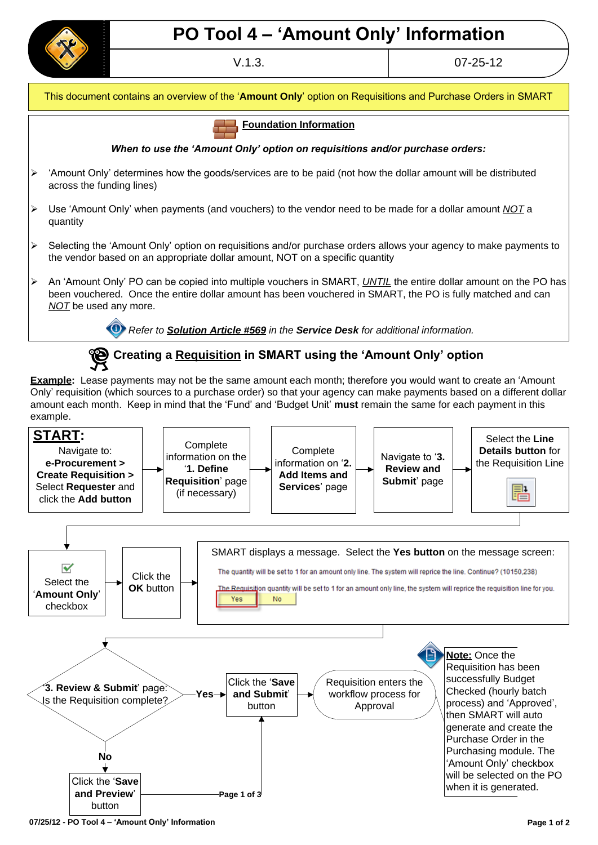

## **PO Tool 4 – "Amount Only" Information**

V.1.3. 07-25-12



## **Creating a Requisition in SMART using the "Amount Only" option**

**Example:** Lease payments may not be the same amount each month; therefore you would want to create an "Amount Only" requisition (which sources to a purchase order) so that your agency can make payments based on a different dollar amount each month. Keep in mind that the "Fund" and "Budget Unit" **must** remain the same for each payment in this example.